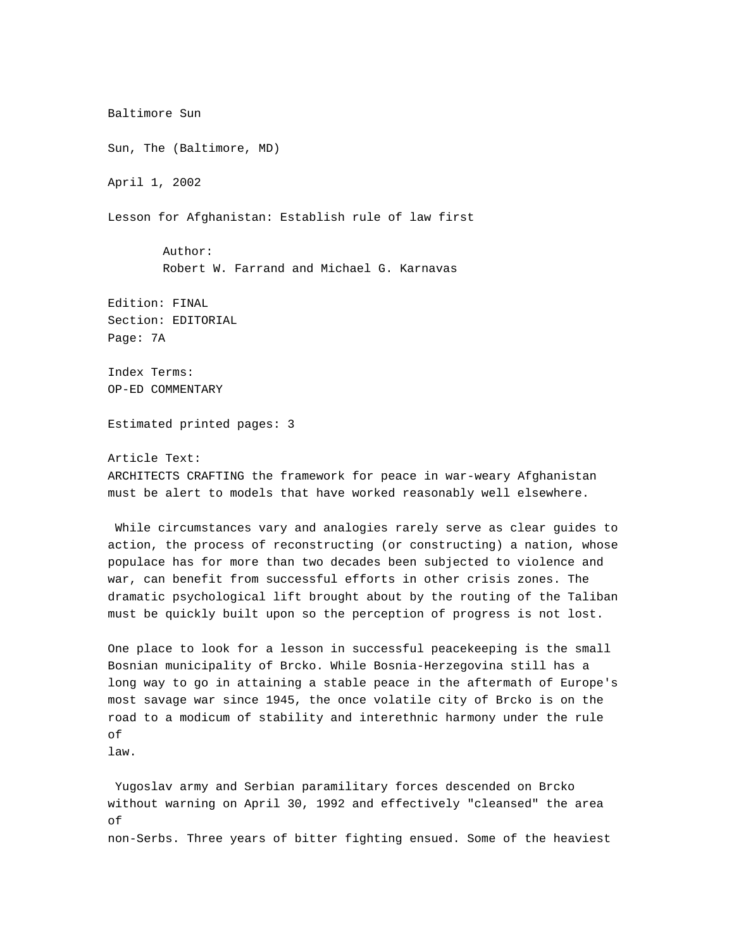Baltimore Sun Sun, The (Baltimore, MD) April 1, 2002 Lesson for Afghanistan: Establish rule of law first Author: Robert W. Farrand and Michael G. Karnavas Edition: FINAL Section: EDITORIAL Page: 7A Index Terms: OP-ED COMMENTARY Estimated printed pages: 3 Article Text: ARCHITECTS CRAFTING the framework for peace in war-weary Afghanistan must be alert to models that have worked reasonably well elsewhere. While circumstances vary and analogies rarely serve as clear guides to action, the process of reconstructing (or constructing) a nation, whose

populace has for more than two decades been subjected to violence and war, can benefit from successful efforts in other crisis zones. The dramatic psychological lift brought about by the routing of the Taliban must be quickly built upon so the perception of progress is not lost.

One place to look for a lesson in successful peacekeeping is the small Bosnian municipality of Brcko. While Bosnia-Herzegovina still has a long way to go in attaining a stable peace in the aftermath of Europe's most savage war since 1945, the once volatile city of Brcko is on the road to a modicum of stability and interethnic harmony under the rule of

law.

Yugoslav army and Serbian paramilitary forces descended on Brcko without warning on April 30, 1992 and effectively "cleansed" the area of non-Serbs. Three years of bitter fighting ensued. Some of the heaviest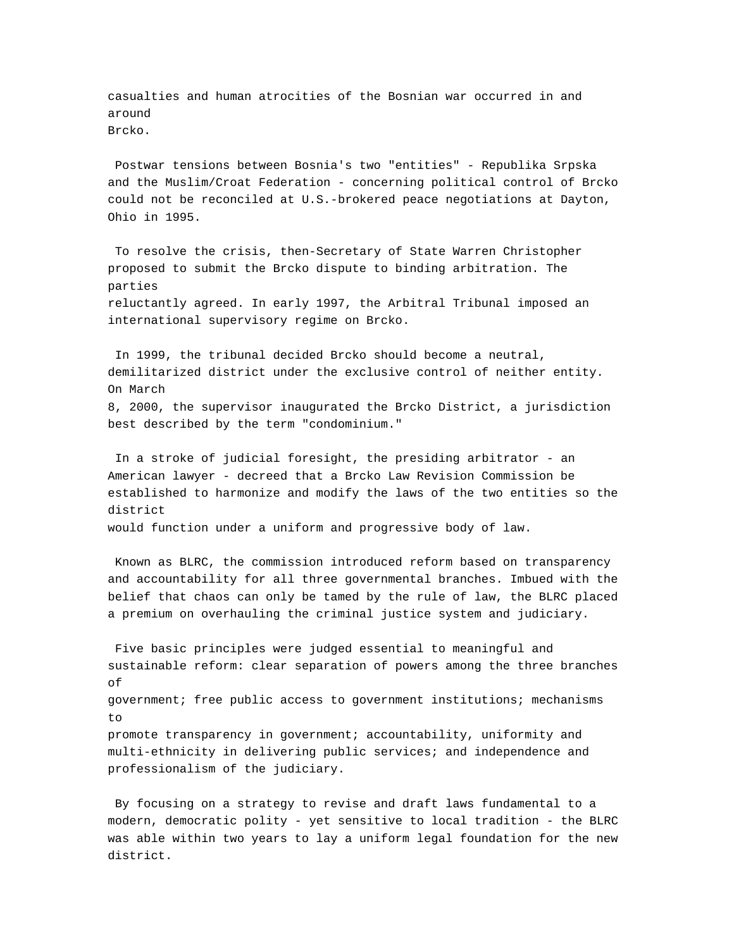casualties and human atrocities of the Bosnian war occurred in and around Brcko.

Postwar tensions between Bosnia's two "entities" - Republika Srpska and the Muslim/Croat Federation - concerning political control of Brcko could not be reconciled at U.S.-brokered peace negotiations at Dayton, Ohio in 1995.

To resolve the crisis, then-Secretary of State Warren Christopher proposed to submit the Brcko dispute to binding arbitration. The parties reluctantly agreed. In early 1997, the Arbitral Tribunal imposed an international supervisory regime on Brcko.

In 1999, the tribunal decided Brcko should become a neutral, demilitarized district under the exclusive control of neither entity. On March 8, 2000, the supervisor inaugurated the Brcko District, a jurisdiction best described by the term "condominium."

In a stroke of judicial foresight, the presiding arbitrator - an American lawyer - decreed that a Brcko Law Revision Commission be established to harmonize and modify the laws of the two entities so the district

would function under a uniform and progressive body of law.

Known as BLRC, the commission introduced reform based on transparency and accountability for all three governmental branches. Imbued with the belief that chaos can only be tamed by the rule of law, the BLRC placed a premium on overhauling the criminal justice system and judiciary.

Five basic principles were judged essential to meaningful and sustainable reform: clear separation of powers among the three branches of government; free public access to government institutions; mechanisms to promote transparency in government; accountability, uniformity and multi-ethnicity in delivering public services; and independence and professionalism of the judiciary.

By focusing on a strategy to revise and draft laws fundamental to a modern, democratic polity - yet sensitive to local tradition - the BLRC was able within two years to lay a uniform legal foundation for the new district.